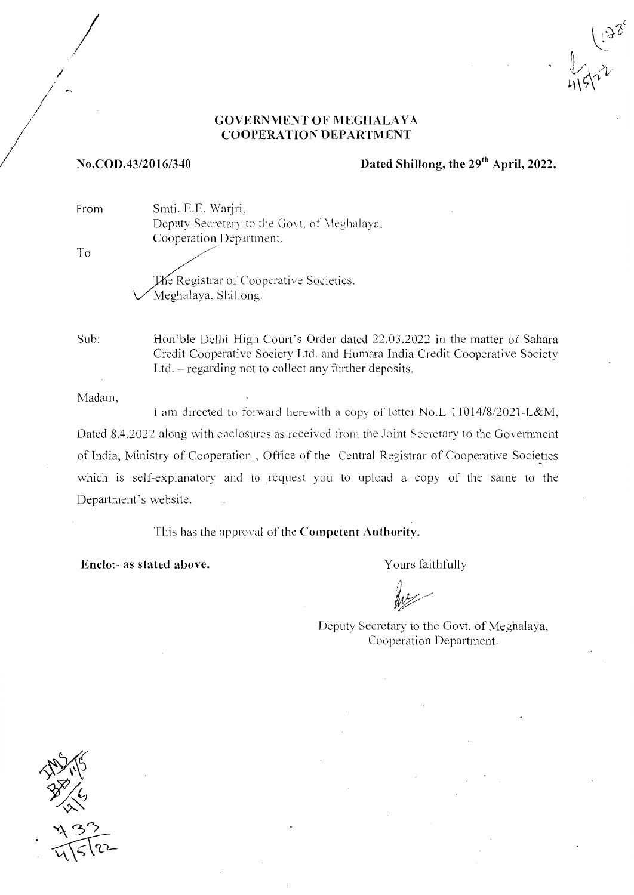### **GOVERNMENT OF MEGHALAYA COOPERATION DEPARTMENT**

#### No.COD.43/2016/340

# Dated Shillong, the 29<sup>th</sup> April, 2022.

Smti. E.E. Warjri, Deputy Secretary to the Govt. of Meghalaya, Cooperation Department.

The Registrar of Cooperative Societies. Meghalaya, Shillong.

Sub:

From

T<sub>o</sub>

Hon'ble Delhi High Court's Order dated 22.03.2022 in the matter of Sahara Credit Cooperative Society Ltd. and Humara India Credit Cooperative Society Ltd.  $-$  regarding not to collect any further deposits.

Madam.

I am directed to forward herewith a copy of letter No.L-11014/8/2021-L&M, Dated 8.4.2022 along with enclosures as received from the Joint Secretary to the Government of India, Ministry of Cooperation, Office of the Central Registrar of Cooperative Societies which is self-explanatory and to request you to upload a copy of the same to the Department's website.

This has the approval of the Competent Authority.

Enclo:- as stated above.

Yours faithfully

Deputy Secretary to the Govt. of Meghalaya, Cooperation Department.

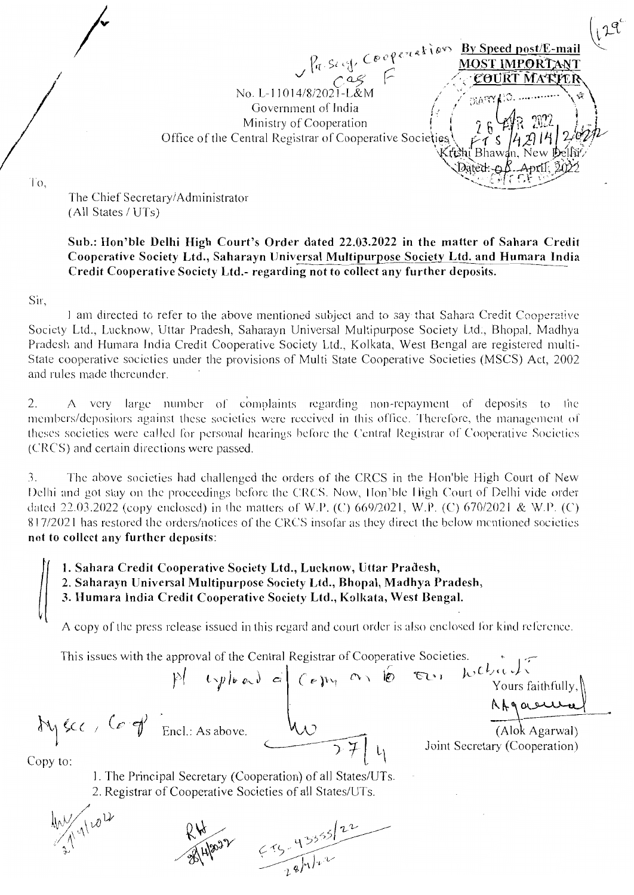$\frac{\rho_{\eta, \text{SUSY}}}{\rho_{\eta, \text{SUSY}}}$   $\frac{\rho_{\eta, \text{SUSY}}}{\rho_{\eta, \text{SUSY}}}$ No. L-11014/8/2021-L&N **Bia W** Government of India Ministry of Cooperation Office of the Central Registrar of Cooperative Societies Krishi Bhawan. New Dellir Dated: n

Τò.

The Chief Secretary/Administrator (All States / UTs)

## Sub.: Hon'ble Delhi High Court's Order dated 22.03.2022 in the matter of Sahara Credit Cooperative Society Ltd., Saharayn Universal Multipurpose Society Ltd. and Humara India Credit Cooperative Society Ltd.- regarding not to collect any further deposits.

Sir,

I am directed to refer to the above mentioned subject and to say that Sahara Credit Cooperative Society Ltd., Lucknow, Uttar Pradesh, Saharayn Universal Multipurpose Society Ltd., Bhopal, Madhya Pradesh and Humara India Credit Cooperative Society Ltd., Kolkata, West Bengal are registered multi-State cooperative societies under the provisions of Multi State Cooperative Societies (MSCS) Act, 2002 and rules made thereunder.

2. A very large number of complaints regarding non-repayment of deposits to the members/depositors against these societies were received in this office. Therefore, the management of theses societies were called for personal hearings before the Central Registrar of Cooperative Societies (CRCS) and certain directions were passed.

The above societies had challenged the orders of the CRCS in the Hon'ble High Court of New 3. Delhi and got stay on the proceedings before the CRCS. Now, Hon'ble High Court of Delhi vide order dated 22.03.2022 (copy enclosed) in the matters of W.P. (C) 669/2021, W.P. (C) 670/2021 & W.P. (C) 817/2021 has restored the orders/notices of the CRCS insofar as they direct the below mentioned societies not to collect any further deposits:

1. Sahara Credit Cooperative Society Ltd., Lucknow, Uttar Pradesh,

2. Saharayn Universal Multipurpose Society Ltd., Bhopal, Madhya Pradesh,

3. Humara India Credit Cooperative Society Ltd., Kolkata, West Bengal.

A copy of the press release issued in this regard and court order is also enclosed for kind reference.

This issues with the approval of the Central Registrar of Cooperative Societies.

My sec, Corp Encl.: As above.

Joint Secretary (Cooperation)

Copy to:

1. The Principal Secretary (Cooperation) of all States/UTs. 2. Registrar of Cooperative Societies of all States/UTs.

 $1822$   $(13355)122$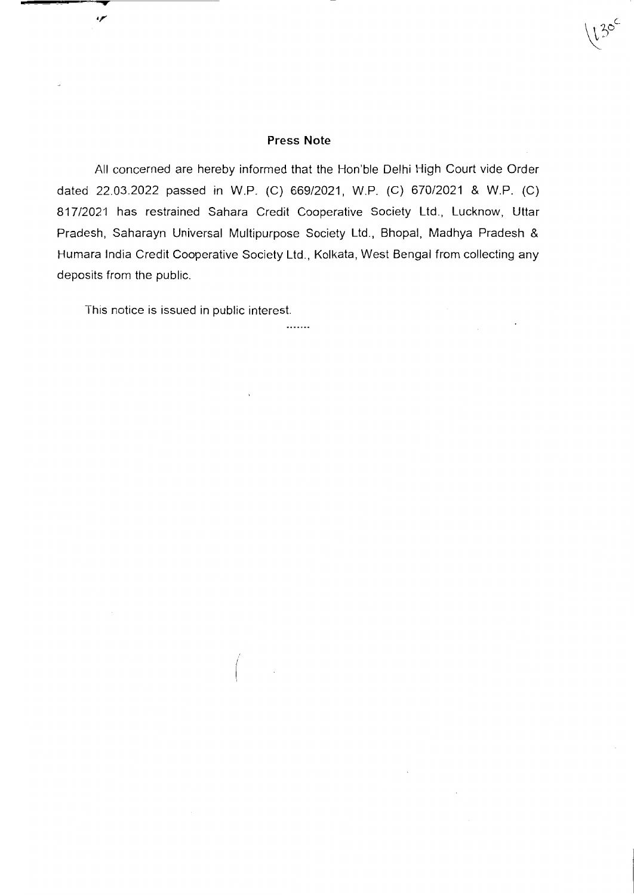#### Press Note

 $\left(13^\circ\right)$  $\overline{\phantom{a}}$ 

All concerned are hereby informed that the Hon'ble Delhi High Court vide Order dated 22.03.2022 passed in W.P. (C) 669/2021, W.P. (C) 67012021 & W.P. (C) 81712021 has restrained Sahara Credit Cooperative Society Ltd., Lucknow, Uttar Pradesh, Saharayn Universal Multipurpose Society Ltd., Bhopal, Madhya Pradesh & Humara lndia Credit Cooperative Society Ltd., Kolkata, West Bengal from collecting any deposits from the public.

.......

This notice is issued in public interest.

سمء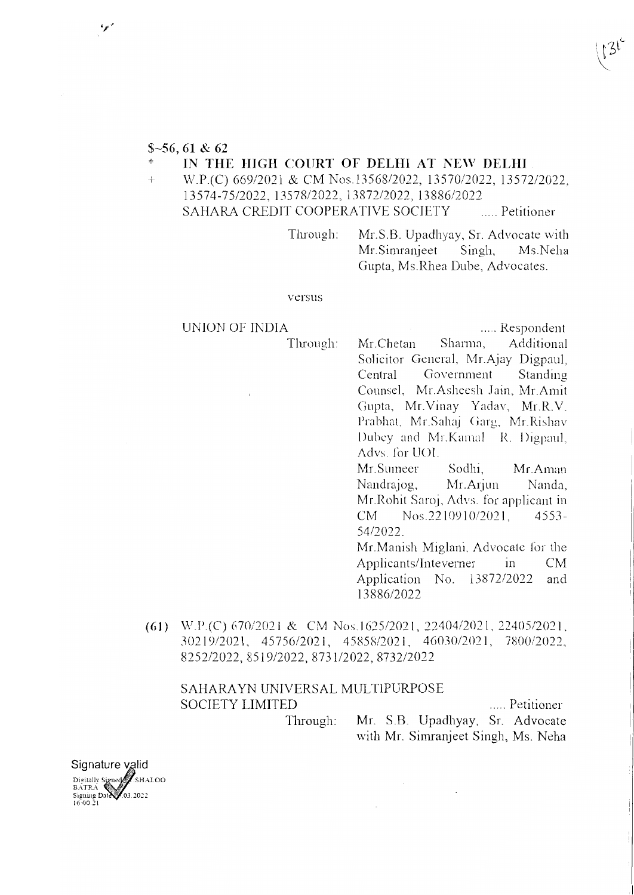# $$-56, 61 & 62$

## IN THE HIGH COURT OF DELHI AT NEW DELHI

W.P.(C) 669/2021 & CM Nos.13568/2022, 13570/2022, 13572/2022.  $+$ 13574-75/2022, 13578/2022, 13872/2022, 13886/2022 SAHARA CREDIT COOPERATIVE SOCIETY ..... Petitioner

> Mr.S.B. Upadhyay, Sr. Advocate with Through: Ms.Neha Mr. Simranjeet Singh, Gupta, Ms.Rhea Dube, Advocates.

#### versus

**UNION OF INDIA** 

Through:

..... Respondent

Mr.Chetan Sharma, Additional Solicitor General, Mr.Ajay Digpaul, Government Central Standing Counsel, Mr.Asheesh Jain, Mr.Amit Gupta, Mr.Vinay Yadav, Mr.R.V. Prabhat, Mr.Sahaj Garg, Mr.Rishav Dubey and Mr.Kamal R. Digpaul, Advs. for UOI.

Mr.Sumeer Sodhi. Mr. Aman Mr.Arjun Nanda, Nandrajog, Mr. Rohit Saroj, Advs. for applicant in Nos.2210910/2021, CM.  $4553 -$ 54/2022.

Mr.Manish Miglani, Advocate for the Applicants/Inteverner  $in$  $CM$ Application No. 13872/2022 and 13886/2022

(61) W.P.(C) 670/2021 & CM Nos.1625/2021, 22404/2021, 22405/2021, 30219/2021, 45756/2021, 45858/2021, 46030/2021, 7800/2022, 8252/2022, 8519/2022, 8731/2022, 8732/2022

# SAHARAYN UNIVERSAL MULTIPURPOSE **SOCIETY LIMITED**

..... Petitioner

Mr. S.B. Upadhyay, Sr. Advocate Through: with Mr. Simranjeet Singh, Ms. Neha

Signature valid Digitally Signed SHALOO Signing Date 03.2022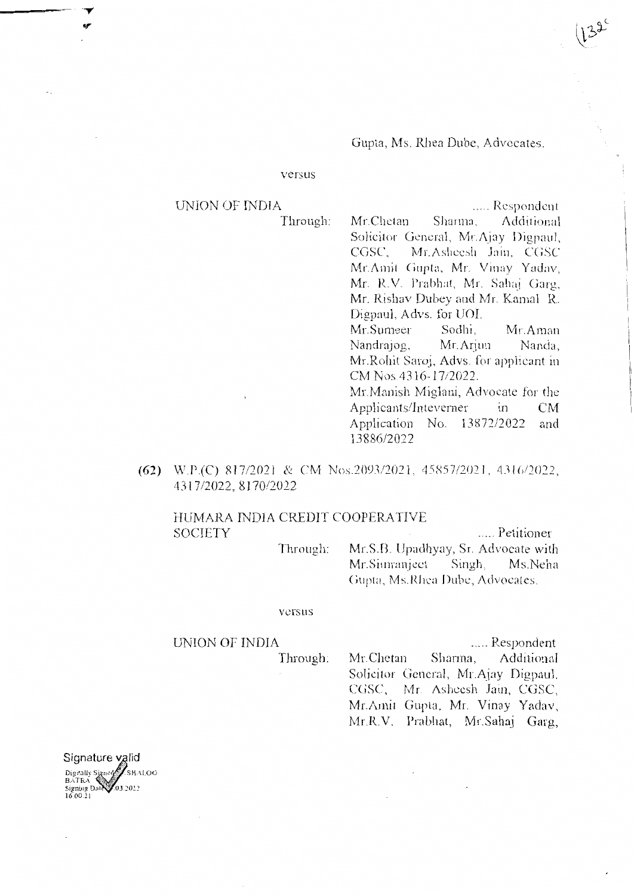Gupta, Ms. Rhea Dube, Advocates.

#### versus

# **UNION OF INDIA**

Through:

..... Respondent Mr.Chetan Sharma, Additional Solicitor General, Mr.Ajay Digpaul, CGSC. Mr.Asheesh Jain, CGSC Mr.Amit Gupta, Mr. Vinay Yadav, Mr. R.V. Prabhat, Mr. Sahaj Garg, Mr. Rishav Dubey and Mr. Kamal R. Digpaul, Advs. for UOI. Mr.Sumeer Sodhi. Mr. Aman

Nandrajog. Mr. Ariun Nanda Mr.Rohit Saroj, Advs. for applicant in CM Nos.4316-17/2022.

Mr. Manish Miglani, Advocate for the Applicants/Inteverner  $\overline{\mathbf{m}}$ CM Application No. 13872/2022 and 13886/2022

(62) W.P.(C) 817/2021 & CM Nos.2093/2021, 45857/2021, 4316/2022, 4317/2022, 8170/2022

# HUMARA INDIA CREDIT COOPERATIVE **SOCIETY**

..... Petitioner Through: Mr.S.B. Upadhyay, Sr. Advocate with Mr.Simranject Singh, Ms.Neha Gupta, Ms.Rhea Dube, Advocates.

#### versus

#### UNION OF INDIA

Through:

..... Respondent Mr.Chetan Additional Sharma, Solicitor General, Mr.Ajay Digpaul, CGSC, Mr. Asheesh Jain, CGSC, Mr.Amit Gupta, Mr. Vinay Yadav, Mr.R.V. Prabhat, Mr.Sahaj Garg,

Signature valid Digitally Signed SHALOO 03.2022 Signing Da<br>16:00:21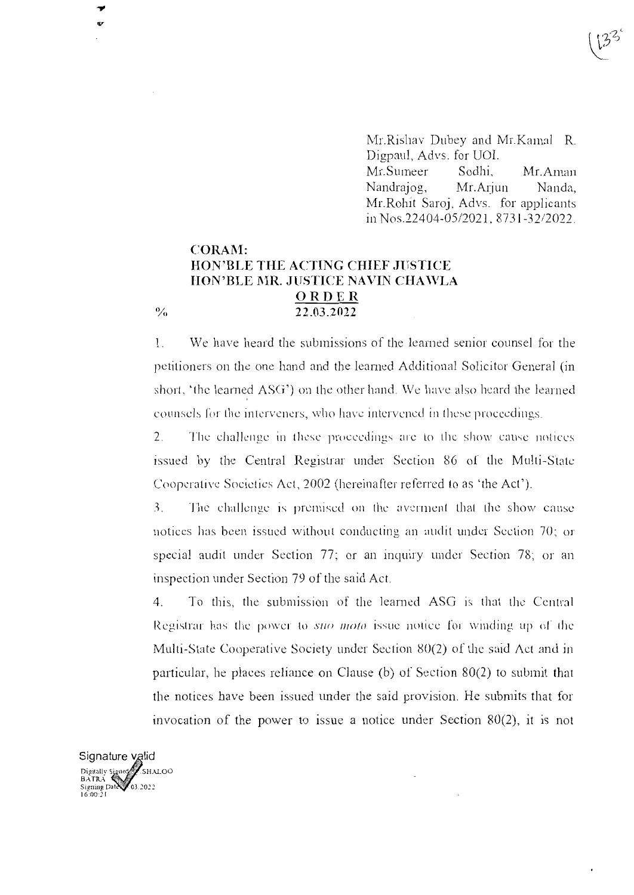Mr.Rishav Dubey and Mr.Kamal R. Digpaul, Advs. for UOI. Sodhi. Mr.Sumeer Mr.Aman Nandrajog, Mr.Arjun Nanda, Mr. Rohit Saroj, Advs. for applicants in Nos.22404-05/2021, 8731-32/2022.

# **CORAM:** HON'BLE THE ACTING CHIEF JUSTICE HON'BLE MR. JUSTICE NAVIN CHAWLA ORDER 22.03.2022

 $\frac{0}{0}$ 

We have heard the submissions of the learned senior counsel for the  $\mathbf{1}$ . petitioners on the one hand and the learned Additional Solicitor General (in short, 'the learned ASG') on the other hand. We have also heard the learned counsels for the interveners, who have intervened in these proceedings.

 $2.$ The challenge in these proceedings are to the show cause notices issued by the Central Registrar under Section 86 of the Multi-State Cooperative Societies Act, 2002 (hereinafter referred to as 'the Act').

 $\overline{3}$ . The challenge is premised on the averment that the show cause notices has been issued without conducting an audit under Section 70; or special audit under Section 77; or an inquiry under Section 78; or an inspection under Section 79 of the said Act.

To this, the submission of the learned ASG is that the Central  $4.$ Registrar has the power to *suo moto* issue notice for winding up of the Multi-State Cooperative Society under Section 80(2) of the said Act and in particular, he places reliance on Clause (b) of Section  $80(2)$  to submit that the notices have been issued under the said provision. He submits that for invocation of the power to issue a notice under Section  $80(2)$ , it is not

Signature valid Digitally Signed<br>BATRA<br>Signing Dal 03.2022<br>16.00.21 SHALOO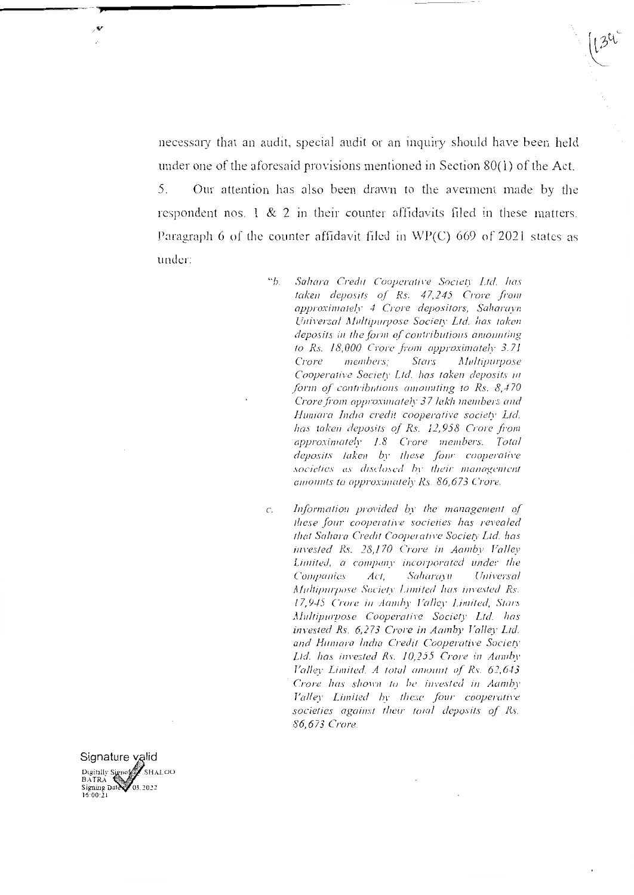necessary that an audit, special audit or an inquiry should have been held under one of the aforesaid provisions mentioned in Section  $80(1)$  of the Act. Our attention has also been drawn to the averment made by the 5 respondent nos.  $1 \& 2$  in their counter affidavits filed in these matters. Paragraph 6 of the counter affidavit filed in WP(C) 669 of 2021 states as under:

- $\mathfrak{g}_{b}$ Sahara Credit Cooperative Society Ltd. has taken deposits of Rs. 47,245 Crore from approximately 4 Crore depositors, Saharavn Universal Multipurpose Society Ltd. has taken deposits in the form of contributions amounting to Rs. 18,000 Crore from approximately 3.71 members: Stars *Multipurpose* Crore Cooperative Society Ltd. has taken deposits in form of contributions amounting to Rs. 8,470 Crore from approximately 37 lakh members and Humara India credit cooperative society Ltd. has taken deposits of Rs. 12,958 Crore from approximately 1.8 Crore members. Total deposits taken by these four cooperative societies as disclosed by their management amounts to approximately Rs. 86,673 Crore.
- Information provided by the management of  $\mathcal{C}$ . these four cooperative societies has revealed that Sahara Credit Cooperative Society Ltd. has invested Rs. 28,170 Crore in Aamby Valley Limited, a company incorporated under the **Companies**  $Act.$ Saharayn Universal Multipurpose Society Limited has invested Rs. 17,945 Crore in Aamby Valley Limited, Stars Multipurpose Cooperative Society Ltd. has invested Rs. 6,273 Crore in Aamby Valley Ltd. and Humara India Credit Cooperative Society Ltd. has invested Rs. 10,255 Crore in Aamby Valley Limited. A total amount of Rs. 62,643 Crore has shown to be invested in Aamby Valley Limited by these four cooperative societies against their total deposits of Rs. 86,673 Crore.

Signature valid Digitally Signes SHALOO  $\frac{\text{Signing Date}}{\text{Signing Date}}$ 03.2022

. €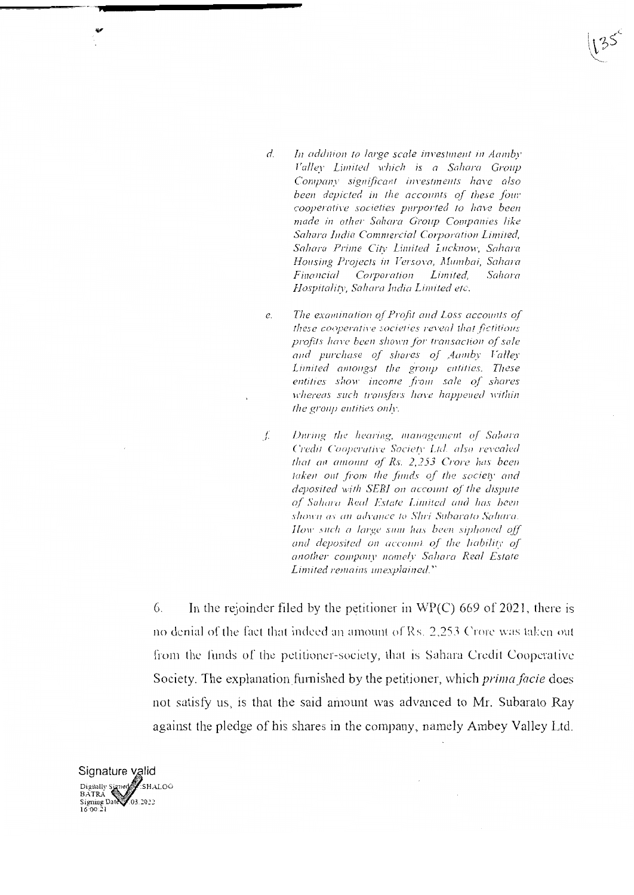- $d_{\cdot}$ In addition to large scale investment in Aamby Valley Limited which is a Sahara Group Company significant investments have also been devicted in the accounts of these four cooperative societies purported to have been made in other Sahara Group Companies like Sahara India Commercial Corporation Limited, Sahara Prime City Limited Lucknow, Sahara Housing Projects in Versova, Mumbai, Sahara Financial Corporation *Limited.* Sahara Hospitality, Sahara India Limited etc.
- The examination of Profit and Loss accounts of  $\rho$ these cooperative societies reveal that fictitious profits have been shown for transaction of sale and purchase of shares of Aamby Valley Limited amongst the group entities. These entities show income from sale of shares whereas such transfers have happened within the group entities only.
- $\int$ . During the hearing, management of Sahara Credit Cooperative Society Ltd. also revealed that an amount of Rs. 2,253 Crore has been taken out from the funds of the society and deposited with SEBI on account of the dispute of Sahara Real Estate Limited and has been shown as an advance to Shri Subarato Sahara. How such a large sum has been siphoned off and deposited on account of the liability of another company namely Sahara Real Estate Limited remains unexplained."

6 In the rejoinder filed by the petitioner in  $WP(C)$  669 of 2021, there is no denial of the fact that indeed an amount of Rs. 2,253 Crore was taken out from the funds of the petitioner-society, that is Sahara Credit Cooperative Society. The explanation furnished by the petitioner, which *prima facie* does not satisfy us, is that the said amount was advanced to Mr. Subarato Ray against the pledge of his shares in the company, namely Ambey Valley Ltd.

Signature valid Digitally Signed SHALOO Signing Date 03.2022<br>16:00:21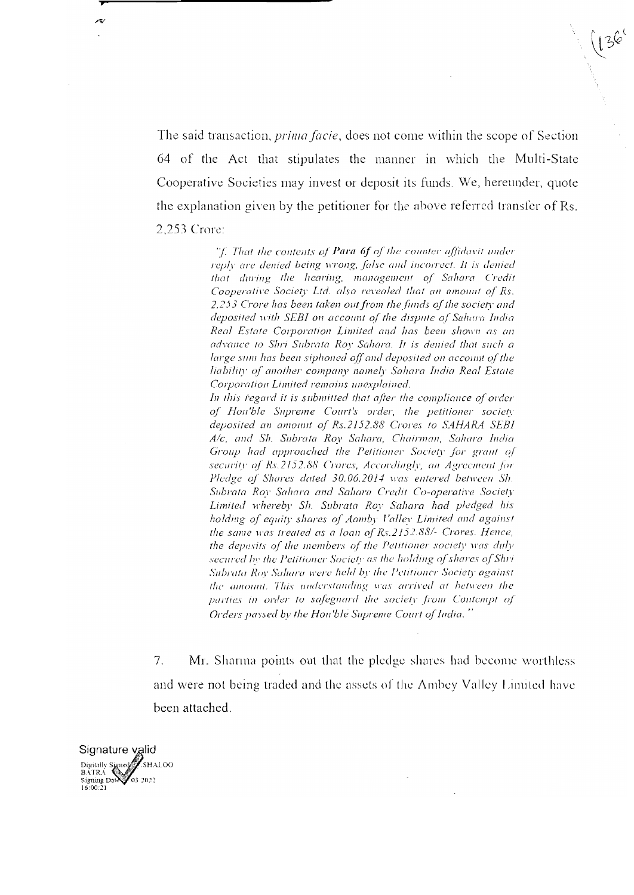The said transaction, *prima facie*, does not come within the scope of Section 64 of the Act that stipulates the manner in which the Multi-State Cooperative Societies may invest or deposit its funds. We, hereunder, quote the explanation given by the petitioner for the above referred transfer of Rs. 2,253 Crore:

> "f. That the contents of **Para 6f** of the counter affidavit under reply are denied being wrong, false and incorrect. It is denied that during the hearing, management of Sahara Credit Cooperative Society Ltd. also revealed that an amount of Rs. 2,253 Crore has been taken out from the funds of the society and deposited with SEBI on account of the dispute of Sahara India Real Estate Corporation Limited and has been shown as an advance to Shri Subrata Roy Sahara. It is denied that such a large sum has been siphoned off and deposited on account of the liability of another company namely Sahara India Real Estate Corporation Limited remains unexplained.

> In this regard it is submitted that after the compliance of order of Hon'ble Supreme Court's order, the petitioner society deposited an amount of Rs.2152.88 Crores to SAHARA SEBI A/c, and Sh. Subrata Roy Sahara, Chairman, Sahara India Group had approached the Petitioner Society for grant of security of Rs.2152.88 Crores, Accordingly, an Agreement for Pledge of Shares dated 30.06.2014 was entered between Sh. Subrata Roy Sahara and Sahara Credit Co-operative Society Limited whereby Sh. Subrata Roy Sahara had pledged his holding of equity shares of Aamby Valley Limited and against the same was treated as a loan of Rs.2152.88/- Crores. Hence, the deposits of the members of the Petitioner society was duly secured by the Petitioner Society as the holding of shares of Shri Subrata Roy Sahara were held by the Petitioner Society against the amount. This understanding was arrived at between the parties in order to safeguard the society from Contempt of Orders passed by the Hon'ble Supreme Court of India."

 $7.$ Mr. Sharma points out that the pledge shares had become worthless and were not being traded and the assets of the Ambey Valley Limited have been attached.

Signature valid Digitally Signed SHALOO BATRA<br>Signing Date 03.2022

بہو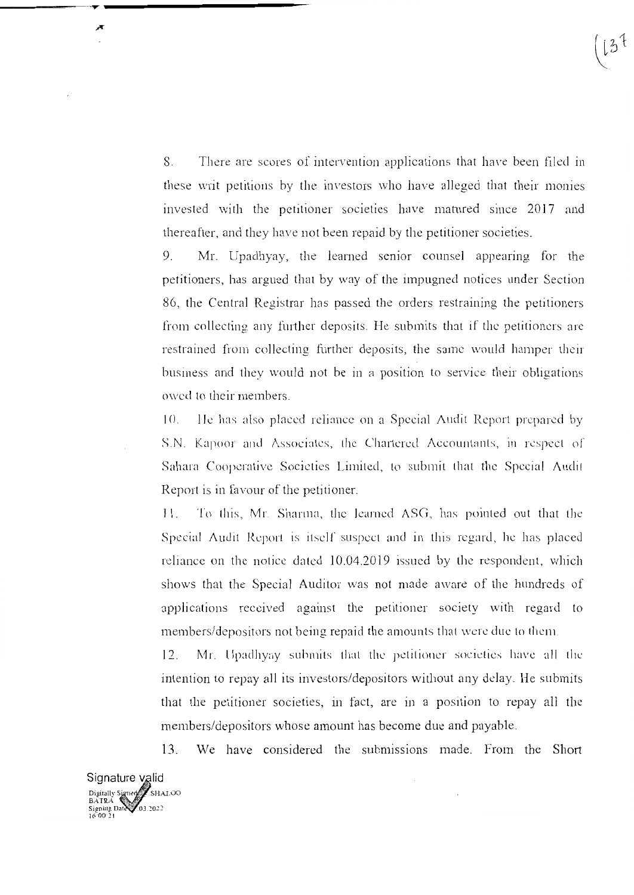8. There are scores of intervention applications that have been filed in these writ petitions by the investors who have alleged that their monies invested with the petitioner societies have matured since 2017 and thereafter, and they have not been repaid by the petitioner societies.

Mr. Upadhyay, the learned senior counsel appearing for the  $9<sub>1</sub>$ petitioners, has argued that by way of the impugned notices under Section 86, the Central Registrar has passed the orders restraining the petitioners from collecting any further deposits. He submits that if the petitioners are restrained from collecting further deposits, the same would hamper their business and they would not be in a position to service their obligations owed to their members.

He has also placed reliance on a Special Audit Report prepared by  $(1)$ S.N. Kapoor and Associates, the Chartered Accountants, in respect of Sahara Cooperative Societies Limited, to submit that the Special Audit Report is in favour of the petitioner.

To this, Mr. Sharma, the learned ASG, has pointed out that the  $11.$ Special Audit Report is itself suspect and in this regard, he has placed reliance on the notice dated 10.04.2019 issued by the respondent, which shows that the Special Auditor was not made aware of the hundreds of applications received against the petitioner society with regard to members/depositors not being repaid the amounts that were due to them.

 $12.$ Mr. Upadhyay submits that the petitioner societies have all the intention to repay all its investors/depositors without any delay. He submits that the petitioner societies, in fact, are in a position to repay all the members/depositors whose amount has become due and payable.

We have considered the submissions made. From the Short 13.

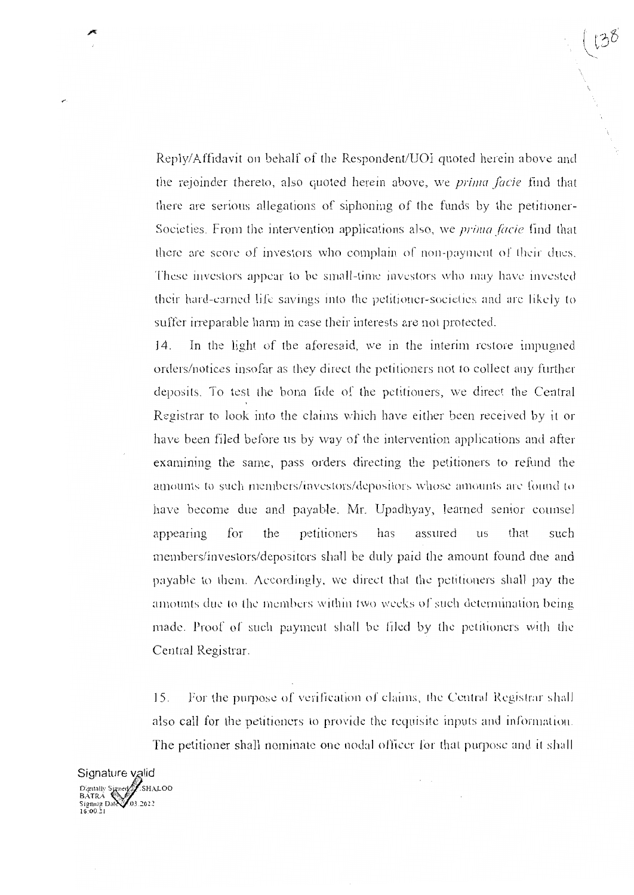Reply/Affidavit on behalf of the Respondent/UOI quoted herein above and the rejoinder thereto, also quoted herein above, we *prima facie* find that there are serious allegations of siphoning of the funds by the petitioner-Societies. From the intervention applications also, we *prima facie* find that there are score of investors who complain of non-payment of their dues. These investors appear to be small-time investors who may have invested their hard-earned life savings into the petitioner-societies and are likely to suffer irreparable harm in case their interests are not protected.

In the light of the aforesaid, we in the interim restore impugned  $14.$ orders/notices insofar as they direct the petitioners not to collect any further deposits. To test the bona fide of the petitioners, we direct the Central Registrar to look into the claims which have either been received by it or have been filed before us by way of the intervention applications and after examining the same, pass orders directing the petitioners to refund the amounts to such members/investors/depositors whose amounts are found to have become due and payable. Mr. Upadhyay, learned senior counsel for the petitioners has assured that such appearing **US** members/investors/depositors shall be duly paid the amount found due and payable to them. Accordingly, we direct that the petitioners shall pay the amounts due to the members within two weeks of such determination being made. Proof of such payment shall be filed by the petitioners with the Central Registrar.

For the purpose of verification of claims, the Central Registrar shall  $15.$ also call for the petitioners to provide the requisite inputs and information. The petitioner shall nominate one nodal officer for that purpose and it shall

Signature valid Digitally Signet SHALOO BATRA Signing Date 03.2022